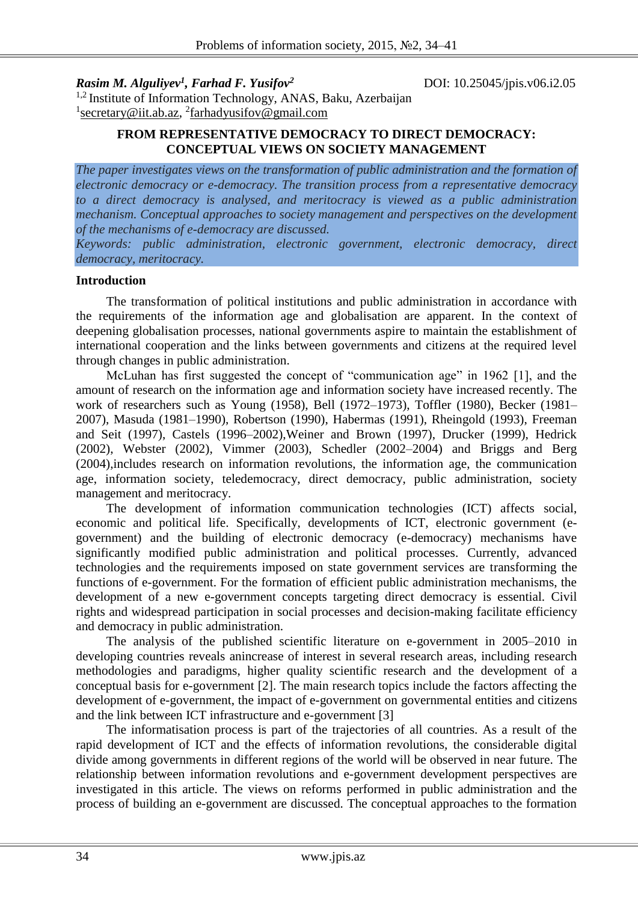*Rasim M. Alguliyev<sup>1</sup> , Farhad F. Yusifov<sup>2</sup>*

DOI: 10.25045/jpis.v06.i2.05

<sup>1,2</sup> Institute of Information Technology, ANAS, Baku, Azerbaijan <sup>1</sup> [secretary@iit.ab.az,](mailto:secretary@iit.ab.az) <sup>2</sup>[farhadyusifov@gmail.com](mailto:farhadyusifov@gmail.com)

#### **FROM REPRESENTATIVE DEMOCRACY TO DIRECT DEMOCRACY: CONCEPTUAL VIEWS ON SOCIETY MANAGEMENT**

*The paper investigates views on the transformation of public administration and the formation of electronic democracy or e-democracy. The transition process from a representative democracy to a direct democracy is analysed, and meritocracy is viewed as a public administration mechanism. Conceptual approaches to society management and perspectives on the development of the mechanisms of e-democracy are discussed.*

*Keywords: public administration, electronic government, electronic democracy, direct democracy, [meritocracy.](https://www.google.az/search?safe=off&es_sm=93&q=meritocracy&spell=1&sa=X&ei=P1tMVZWiKYLfUa6YgLgJ&ved=0CBgQvwUoAA)*

#### **Introduction**

The transformation of political institutions and public administration in accordance with the requirements of the information age and globalisation are apparent. In the context of deepening globalisation processes, national governments aspire to maintain the establishment of international cooperation and the links between governments and citizens at the required level through changes in public administration.

McLuhan has first suggested the concept of "communication age" in 1962 [1], and the amount of research on the information age and information society have increased recently. The work of researchers such as Young (1958), Bell (1972–1973), Toffler (1980), Becker (1981– 2007), Masuda (1981–1990), Robertson (1990), Habermas (1991), Rheingold (1993), Freeman and Seit (1997), Castels (1996–2002),Weiner and Brown (1997), Drucker (1999), Hedrick (2002), Webster (2002), Vimmer (2003), Schedler (2002–2004) and Briggs and Berg (2004),includes research on information revolutions, the information age, the communication age, information society, teledemocracy, direct democracy, public administration, society management and meritocracy.

The development of information communication technologies (ICT) affects social, economic and political life. Specifically, developments of ICT, electronic government (egovernment) and the building of electronic democracy (e-democracy) mechanisms have significantly modified public administration and political processes. Currently, advanced technologies and the requirements imposed on state government services are transforming the functions of e-government. For the formation of efficient public administration mechanisms, the development of a new e-government concepts targeting direct democracy is essential. Civil rights and widespread participation in social processes and decision-making facilitate efficiency and democracy in public administration.

The analysis of the published scientific literature on e-government in 2005–2010 in developing countries reveals anincrease of interest in several research areas, including research methodologies and paradigms, higher quality scientific research and the development of a conceptual basis for e-government [2]. The main research topics include the factors affecting the development of e-government, the impact of e-government on governmental entities and citizens and the link between ICT infrastructure and e-government [3]

The informatisation process is part of the trajectories of all countries. As a result of the rapid development of ICT and the effects of information revolutions, the considerable digital divide among governments in different regions of the world will be observed in near future. The relationship between information revolutions and e-government development perspectives are investigated in this article. The views on reforms performed in public administration and the process of building an e-government are discussed. The conceptual approaches to the formation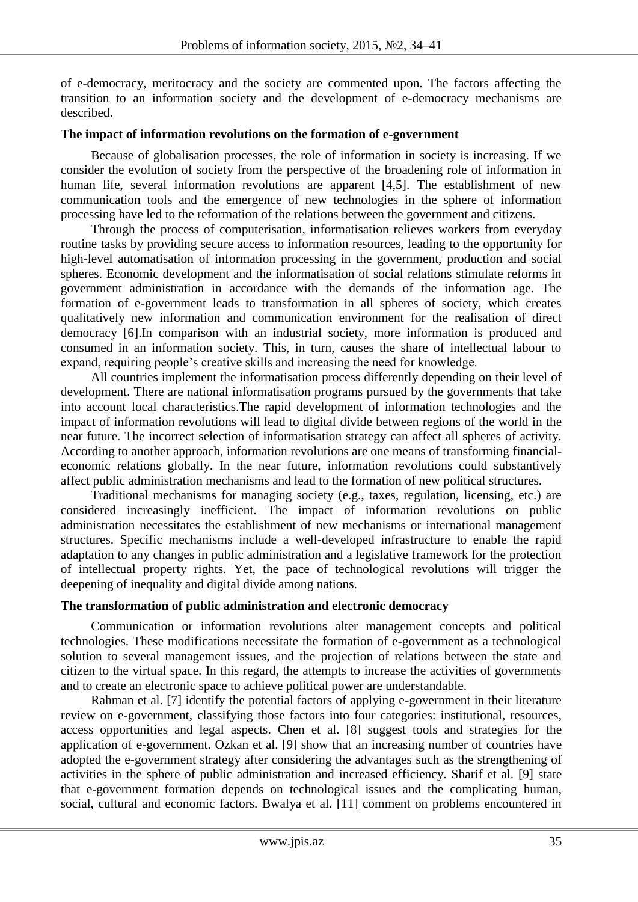of e-democracy, meritocracy and the society are commented upon. The factors affecting the transition to an information society and the development of e-democracy mechanisms are described.

#### **The impact of information revolutions on the formation of e-government**

Because of globalisation processes, the role of information in society is increasing. If we consider the evolution of society from the perspective of the broadening role of information in human life, several information revolutions are apparent [4,5]. The establishment of new communication tools and the emergence of new technologies in the sphere of information processing have led to the reformation of the relations between the government and citizens.

Through the process of computerisation, informatisation relieves workers from everyday routine tasks by providing secure access to information resources, leading to the opportunity for high-level automatisation of information processing in the government, production and social spheres. Economic development and the informatisation of social relations stimulate reforms in government administration in accordance with the demands of the information age. The formation of e-government leads to transformation in all spheres of society, which creates qualitatively new information and communication environment for the realisation of direct democracy [6].In comparison with an industrial society, more information is produced and consumed in an information society. This, in turn, causes the share of intellectual labour to expand, requiring people's creative skills and increasing the need for knowledge.

All countries implement the informatisation process differently depending on their level of development. There are national informatisation programs pursued by the governments that take into account local characteristics.The rapid development of information technologies and the impact of information revolutions will lead to digital divide between regions of the world in the near future. The incorrect selection of informatisation strategy can affect all spheres of activity. According to another approach, information revolutions are one means of transforming financialeconomic relations globally. In the near future, information revolutions could substantively affect public administration mechanisms and lead to the formation of new political structures.

Traditional mechanisms for managing society (e.g., taxes, regulation, licensing, etc.) are considered increasingly inefficient. The impact of information revolutions on public administration necessitates the establishment of new mechanisms or international management structures. Specific mechanisms include a well-developed infrastructure to enable the rapid adaptation to any changes in public administration and a legislative framework for the protection of intellectual property rights. Yet, the pace of technological revolutions will trigger the deepening of inequality and digital divide among nations.

## **The transformation of public administration and electronic democracy**

Communication or information revolutions alter management concepts and political technologies. These modifications necessitate the formation of e-government as a technological solution to several management issues, and the projection of relations between the state and citizen to the virtual space. In this regard, the attempts to increase the activities of governments and to create an electronic space to achieve political power are understandable.

Rahman et al. [7] identify the potential factors of applying e-government in their literature review on e-government, classifying those factors into four categories: institutional, resources, access opportunities and legal aspects. Chen et al. [8] suggest tools and strategies for the application of e-government. Ozkan et al. [9] show that an increasing number of countries have adopted the e-government strategy after considering the advantages such as the strengthening of activities in the sphere of public administration and increased efficiency. Sharif et al. [9] state that e-government formation depends on technological issues and the complicating human, social, cultural and economic factors. Bwalya et al. [11] comment on problems encountered in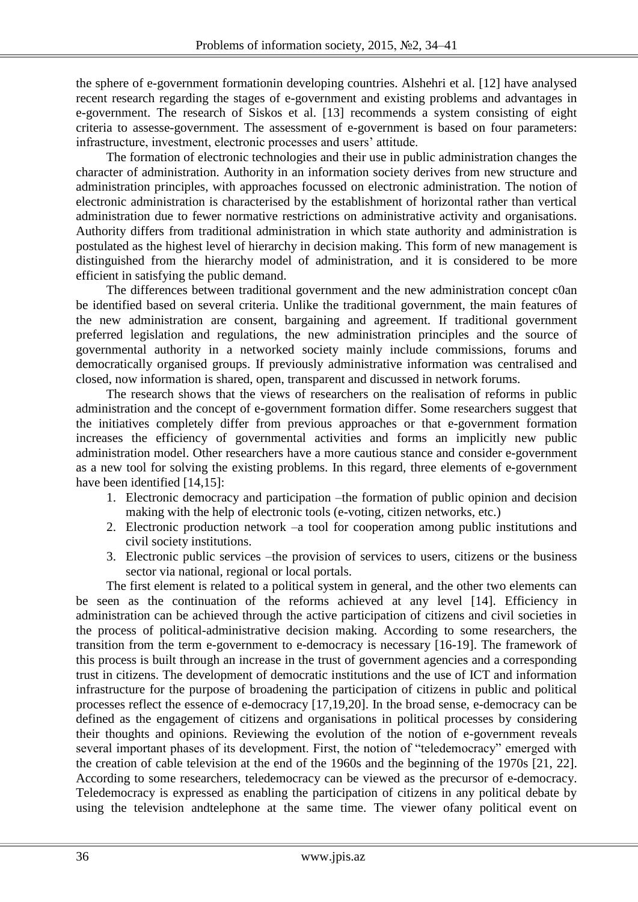the sphere of e-government formationin developing countries. Alshehri et al. [12] have analysed recent research regarding the stages of e-government and existing problems and advantages in e-government. The research of Siskos et al. [13] recommends a system consisting of eight criteria to assesse-government. The assessment of e-government is based on four parameters: infrastructure, investment, electronic processes and users' attitude.

The formation of electronic technologies and their use in public administration changes the character of administration. Authority in an information society derives from new structure and administration principles, with approaches focussed on electronic administration. The notion of electronic administration is characterised by the establishment of horizontal rather than vertical administration due to fewer normative restrictions on administrative activity and organisations. Authority differs from traditional administration in which state authority and administration is postulated as the highest level of hierarchy in decision making. This form of new management is distinguished from the hierarchy model of administration, and it is considered to be more efficient in satisfying the public demand.

The differences between traditional government and the new administration concept c0an be identified based on several criteria. Unlike the traditional government, the main features of the new administration are consent, bargaining and agreement. If traditional government preferred legislation and regulations, the new administration principles and the source of governmental authority in a networked society mainly include commissions, forums and democratically organised groups. If previously administrative information was centralised and closed, now information is shared, open, transparent and discussed in network forums.

The research shows that the views of researchers on the realisation of reforms in public administration and the concept of e-government formation differ. Some researchers suggest that the initiatives completely differ from previous approaches or that e-government formation increases the efficiency of governmental activities and forms an implicitly new public administration model. Other researchers have a more cautious stance and consider e-government as a new tool for solving the existing problems. In this regard, three elements of e-government have been identified [14,15]:

- 1. Electronic democracy and participation –the formation of public opinion and decision making with the help of electronic tools (e-voting, citizen networks, etc.)
- 2. Electronic production network –a tool for cooperation among public institutions and civil society institutions.
- 3. Electronic public services –the provision of services to users, citizens or the business sector via national, regional or local portals.

The first element is related to a political system in general, and the other two elements can be seen as the continuation of the reforms achieved at any level [14]. Efficiency in administration can be achieved through the active participation of citizens and civil societies in the process of political-administrative decision making. According to some researchers, the transition from the term e-government to e-democracy is necessary [16-19]. The framework of this process is built through an increase in the trust of government agencies and a corresponding trust in citizens. The development of democratic institutions and the use of ICT and information infrastructure for the purpose of broadening the participation of citizens in public and political processes reflect the essence of e-democracy [17,19,20]. In the broad sense, e-democracy can be defined as the engagement of citizens and organisations in political processes by considering their thoughts and opinions. Reviewing the evolution of the notion of e-government reveals several important phases of its development. First, the notion of "teledemocracy" emerged with the creation of cable television at the end of the 1960s and the beginning of the 1970s [21, 22]. According to some researchers, teledemocracy can be viewed as the precursor of e-democracy. Teledemocracy is expressed as enabling the participation of citizens in any political debate by using the television andtelephone at the same time. The viewer ofany political event on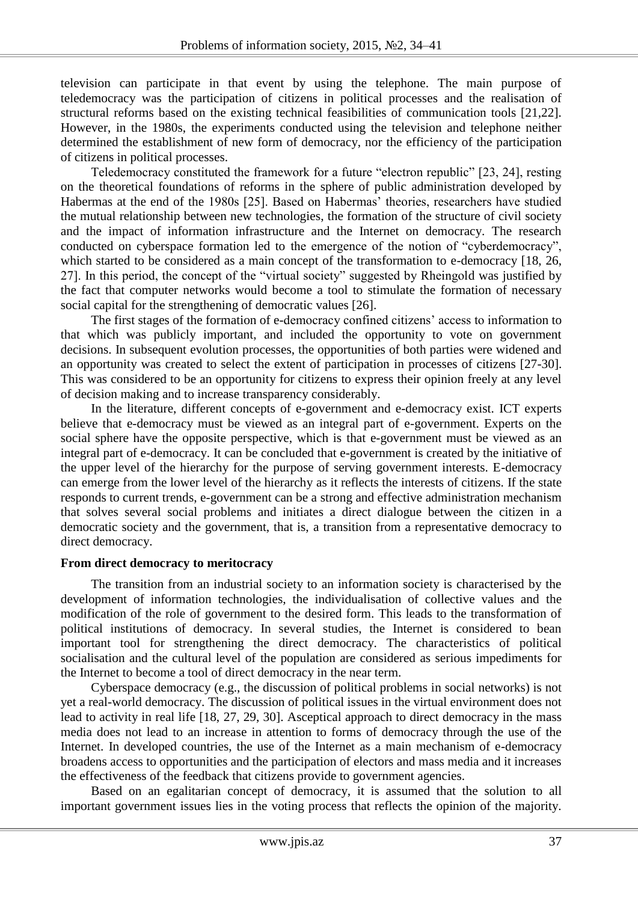television can participate in that event by using the telephone. The main purpose of teledemocracy was the participation of citizens in political processes and the realisation of structural reforms based on the existing technical feasibilities of communication tools [21,22]. However, in the 1980s, the experiments conducted using the television and telephone neither determined the establishment of new form of democracy, nor the efficiency of the participation of citizens in political processes.

Teledemocracy constituted the framework for a future "electron republic" [23, 24], resting on the theoretical foundations of reforms in the sphere of public administration developed by Habermas at the end of the 1980s [25]. Based on Habermas' theories, researchers have studied the mutual relationship between new technologies, the formation of the structure of civil society and the impact of information infrastructure and the Internet on democracy. The research conducted on cyberspace formation led to the emergence of the notion of "cyberdemocracy", which started to be considered as a main concept of the transformation to e-democracy [18, 26, 27]. In this period, the concept of the "virtual society" suggested by Rheingold was justified by the fact that computer networks would become a tool to stimulate the formation of necessary social capital for the strengthening of democratic values [26].

The first stages of the formation of e-democracy confined citizens' access to information to that which was publicly important, and included the opportunity to vote on government decisions. In subsequent evolution processes, the opportunities of both parties were widened and an opportunity was created to select the extent of participation in processes of citizens [27-30]. This was considered to be an opportunity for citizens to express their opinion freely at any level of decision making and to increase transparency considerably.

In the literature, different concepts of e-government and e-democracy exist. ICT experts believe that e-democracy must be viewed as an integral part of e-government. Experts on the social sphere have the opposite perspective, which is that e-government must be viewed as an integral part of e-democracy. It can be concluded that e-government is created by the initiative of the upper level of the hierarchy for the purpose of serving government interests. E-democracy can emerge from the lower level of the hierarchy as it reflects the interests of citizens. If the state responds to current trends, e-government can be a strong and effective administration mechanism that solves several social problems and initiates a direct dialogue between the citizen in a democratic society and the government, that is, a transition from a representative democracy to direct democracy.

### **From direct democracy to meritocracy**

The transition from an industrial society to an information society is characterised by the development of information technologies, the individualisation of collective values and the modification of the role of government to the desired form. This leads to the transformation of political institutions of democracy. In several studies, the Internet is considered to bean important tool for strengthening the direct democracy. The characteristics of political socialisation and the cultural level of the population are considered as serious impediments for the Internet to become a tool of direct democracy in the near term.

Cyberspace democracy (e.g., the discussion of political problems in social networks) is not yet a real-world democracy. The discussion of political issues in the virtual environment does not lead to activity in real life [18, 27, 29, 30]. Asceptical approach to direct democracy in the mass media does not lead to an increase in attention to forms of democracy through the use of the Internet. In developed countries, the use of the Internet as a main mechanism of e-democracy broadens access to opportunities and the participation of electors and mass media and it increases the effectiveness of the feedback that citizens provide to government agencies.

Based on an egalitarian concept of democracy, it is assumed that the solution to all important government issues lies in the voting process that reflects the opinion of the majority.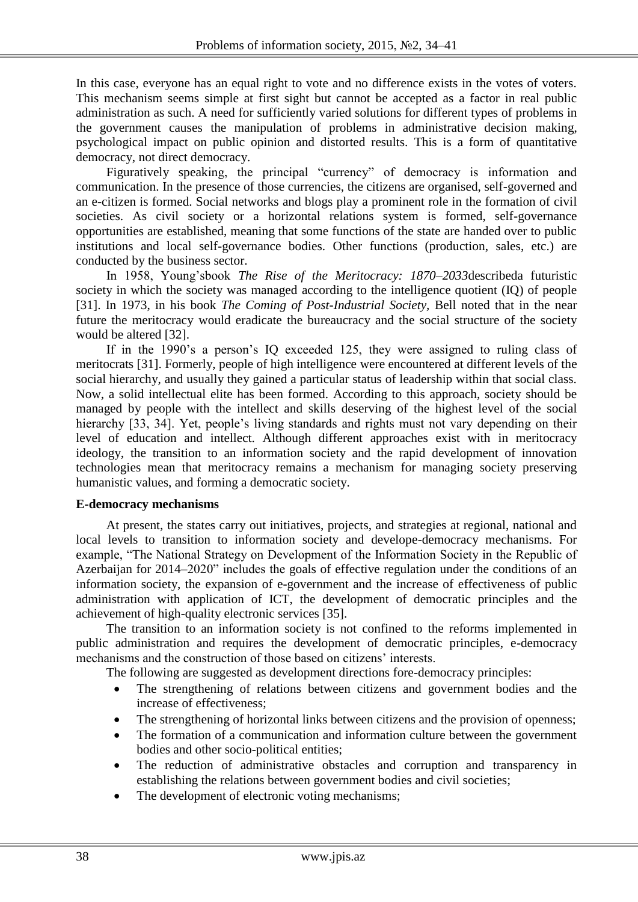In this case, everyone has an equal right to vote and no difference exists in the votes of voters. This mechanism seems simple at first sight but cannot be accepted as a factor in real public administration as such. A need for sufficiently varied solutions for different types of problems in the government causes the manipulation of problems in administrative decision making, psychological impact on public opinion and distorted results. This is a form of quantitative democracy, not direct democracy.

Figuratively speaking, the principal "currency" of democracy is information and communication. In the presence of those currencies, the citizens are organised, self-governed and an e-citizen is formed. Social networks and blogs play a prominent role in the formation of civil societies. As civil society or a horizontal relations system is formed, self-governance opportunities are established, meaning that some functions of the state are handed over to public institutions and local self-governance bodies. Other functions (production, sales, etc.) are conducted by the business sector.

In 1958, Young'sbook *The Rise of the Meritocracy: 1870–2033*describeda futuristic society in which the society was managed according to the intelligence quotient (IQ) of people [31]. In 1973, in his book *The Coming of Post-Industrial Society,* Bell noted that in the near future the meritocracy would eradicate the bureaucracy and the social structure of the society would be altered [32].

If in the 1990's a person's IQ exceeded 125, they were assigned to ruling class of meritocrats [31]. Formerly, people of high intelligence were encountered at different levels of the social hierarchy, and usually they gained a particular status of leadership within that social class. Now, a solid intellectual elite has been formed. According to this approach, society should be managed by people with the intellect and skills deserving of the highest level of the social hierarchy [33, 34]. Yet, people's living standards and rights must not vary depending on their level of education and intellect. Although different approaches exist with in meritocracy ideology, the transition to an information society and the rapid development of innovation technologies mean that meritocracy remains a mechanism for managing society preserving humanistic values, and forming a democratic society.

#### **E-democracy mechanisms**

At present, the states carry out initiatives, projects, and strategies at regional, national and local levels to transition to information society and develope-democracy mechanisms. For example, "The National Strategy on Development of the Information Society in the Republic of Azerbaijan for 2014–2020" includes the goals of effective regulation under the conditions of an information society, the expansion of e-government and the increase of effectiveness of public administration with application of ICT, the development of democratic principles and the achievement of high-quality electronic services [35].

The transition to an information society is not confined to the reforms implemented in public administration and requires the development of democratic principles, e-democracy mechanisms and the construction of those based on citizens' interests.

The following are suggested as development directions fore-democracy principles:

- The strengthening of relations between citizens and government bodies and the increase of effectiveness;
- The strengthening of horizontal links between citizens and the provision of openness;
- The formation of a communication and information culture between the government bodies and other socio-political entities;
- The reduction of administrative obstacles and corruption and transparency in establishing the relations between government bodies and civil societies;
- The development of electronic voting mechanisms;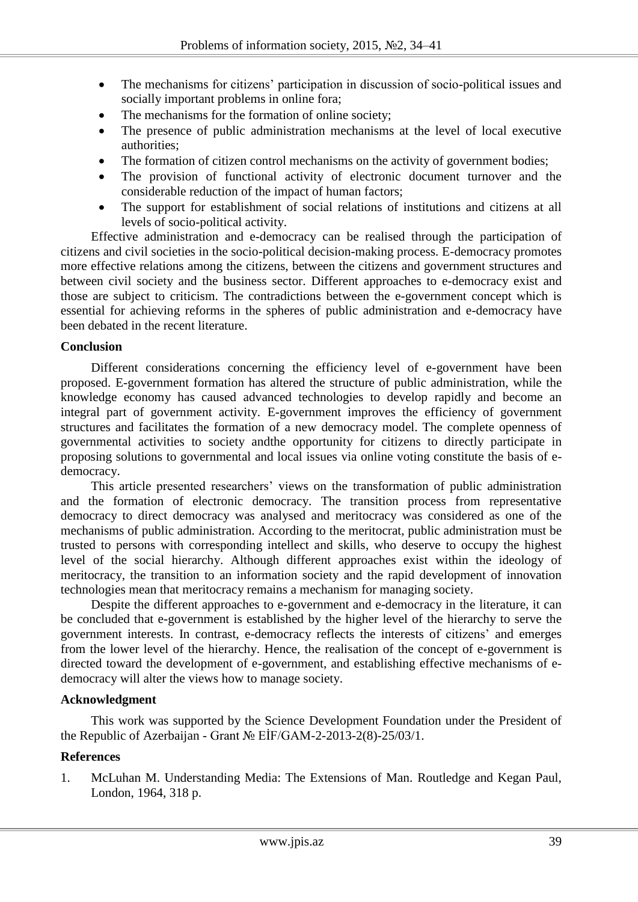- The mechanisms for citizens' participation in discussion of socio-political issues and socially important problems in online fora;
- The mechanisms for the formation of online society;
- The presence of public administration mechanisms at the level of local executive authorities;
- The formation of citizen control mechanisms on the activity of government bodies;
- The provision of functional activity of electronic document turnover and the considerable reduction of the impact of human factors;
- The support for establishment of social relations of institutions and citizens at all levels of socio-political activity.

Effective administration and e-democracy can be realised through the participation of citizens and civil societies in the socio-political decision-making process. E-democracy promotes more effective relations among the citizens, between the citizens and government structures and between civil society and the business sector. Different approaches to e-democracy exist and those are subject to criticism. The contradictions between the e-government concept which is essential for achieving reforms in the spheres of public administration and e-democracy have been debated in the recent literature.

### **Conclusion**

Different considerations concerning the efficiency level of e-government have been proposed. E-government formation has altered the structure of public administration, while the knowledge economy has caused advanced technologies to develop rapidly and become an integral part of government activity. E-government improves the efficiency of government structures and facilitates the formation of a new democracy model. The complete openness of governmental activities to society andthe opportunity for citizens to directly participate in proposing solutions to governmental and local issues via online voting constitute the basis of edemocracy.

This article presented researchers' views on the transformation of public administration and the formation of electronic democracy. The transition process from representative democracy to direct democracy was analysed and meritocracy was considered as one of the mechanisms of public administration. According to the meritocrat, public administration must be trusted to persons with corresponding intellect and skills, who deserve to occupy the highest level of the social hierarchy. Although different approaches exist within the ideology of meritocracy, the transition to an information society and the rapid development of innovation technologies mean that meritocracy remains a mechanism for managing society.

Despite the different approaches to e-government and e-democracy in the literature, it can be concluded that e-government is established by the higher level of the hierarchy to serve the government interests. In contrast, e-democracy reflects the interests of citizens' and emerges from the lower level of the hierarchy. Hence, the realisation of the concept of e-government is directed toward the development of e-government, and establishing effective mechanisms of edemocracy will alter the views how to manage society.

### **Acknowledgment**

This work was supported by the Science Development Foundation under the President of the Republic of Azerbaijan - Grant № EİF/GAM-2-2013-2(8)-25/03/1.

# **References**

1. McLuhan M. Understanding Media: The Extensions of Man. Routledge and Kegan Paul, London, 1964, 318 p.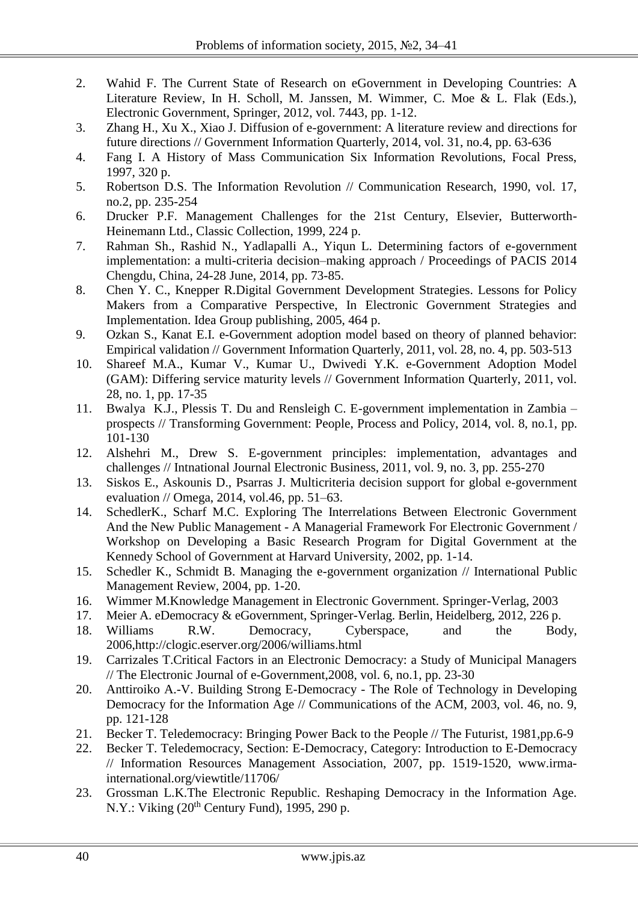- 2. Wahid F. The Current State of Research on eGovernment in Developing Countries: A Literature Review, In H. Scholl, M. Janssen, M. Wimmer, C. Moe & L. Flak (Eds.), Electronic Government, Springer, 2012, vol. 7443, pp. 1-12.
- 3. Zhang H., Xu X., Xiao J. Diffusion of e-government: A literature review and directions for future directions // Government Information Quarterly, 2014, vol. 31, no.4, pp. 63-636
- 4. Fang I. A History of Mass Communication Six Information Revolutions, Focal Press, 1997, 320 p.
- 5. Robertson D.S. The Information Revolution // Communication Research, 1990, vol. 17, no.2, pp. 235-254
- 6. Drucker P.F. Management Challenges for the 21st Century, Elsevier, Butterworth-Heinemann Ltd., Classic Collection, 1999, 224 p.
- 7. Rahman Sh., Rashid N., Yadlapalli A., Yiqun L. Determining factors of e-government implementation: a multi-criteria decision–making approach / Proceedings of PACIS 2014 Chengdu, China, 24-28 June, 2014, pp. 73-85.
- 8. Chen Y. C., Knepper R.Digital Government Development Strategies. Lessons for Policy Makers from a Comparative Perspective, In Electronic Government Strategies and Implementation. Idea Group publishing, 2005, 464 p.
- 9. Ozkan S., Kanat E.I. e-Government adoption model based on theory of planned behavior: Empirical validation // Government Information Quarterly, 2011, vol. 28, no. 4, pp. 503-513
- 10. Shareef M.A., Kumar V., Kumar U., Dwivedi Y.K. e-Government Adoption Model (GAM): Differing service maturity levels // Government Information Quarterly, 2011, vol. 28, no. 1, pp. 17-35
- 11. Bwalya K.J., Plessis T. Du and Rensleigh C. E-government implementation in Zambia prospects // Transforming Government: People, Process and Policy, 2014, vol. 8, no.1, pp. 101-130
- 12. Alshehri M., Drew S. E-government principles: implementation, advantages and challenges // Intnational Journal Electronic Business, 2011, vol. 9, no. 3, pp. 255-270
- 13. Siskos E., Askounis D., Psarras J. Multicriteria decision support for global e-government evaluation // Omega, 2014, vol.46, pp. 51–63.
- 14. SchedlerK., Scharf M.C. Exploring The Interrelations Between Electronic Government And the New Public Management - A Managerial Framework For Electronic Government / Workshop on Developing a Basic Research Program for Digital Government at the Kennedy School of Government at Harvard University, 2002, pp. 1-14.
- 15. Schedler K., Schmidt B. Managing the e-government organization // International Public Management Review, 2004, pp. 1-20.
- 16. Wimmer M.Knowledge Management in Electronic Government. Springer-Verlag, 2003
- 17. Meier A. eDemocracy & eGovernment, Springer-Verlag. Berlin, Heidelberg, 2012, 226 p.
- 18. Williams R.W. Democracy, Cyberspace, and the Body, 2006,http://clogic.eserver.org/2006/williams.html
- 19. Carrizales T.Critical Factors in an Electronic Democracy: a Study of Municipal Managers // The Electronic Journal of e-Government,2008, vol. 6, no.1, pp. 23-30
- 20. Anttiroiko A.-V. Building Strong E-Democracy The Role of Technology in Developing Democracy for the Information Age // Communications of the ACM, 2003, vol. 46, no. 9, pp. 121-128
- 21. Becker T. Teledemocracy: Bringing Power Back to the People // The Futurist, 1981,pp.6-9
- 22. Becker T. Teledemocracy, Section: E-Democracy, Category: Introduction to E-Democracy // Information Resources Management Association, 2007, pp. 1519-1520, www.irmainternational.org/viewtitle/11706/
- 23. Grossman L.K.The Electronic Republic. Reshaping Democracy in the Information Age. N.Y.: Viking  $(20<sup>th</sup>$  Century Fund), 1995, 290 p.